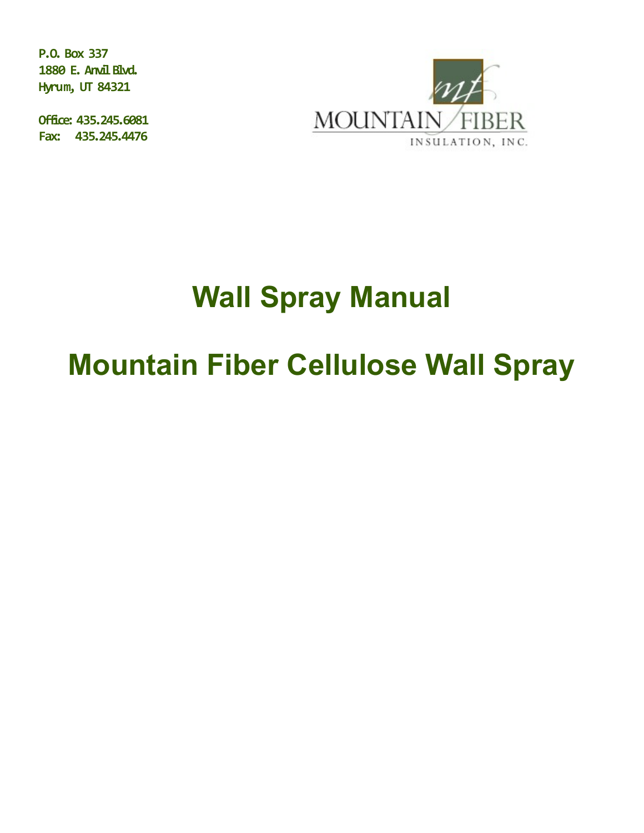**P.O. Box 337 1880 E. Anvil Blvd. Hyrum, UT 84321**

**Office: 435.245.6081 Fax: 435.245.4476** 



# **Wall Spray Manual**

## **Mountain Fiber Cellulose Wall Spray**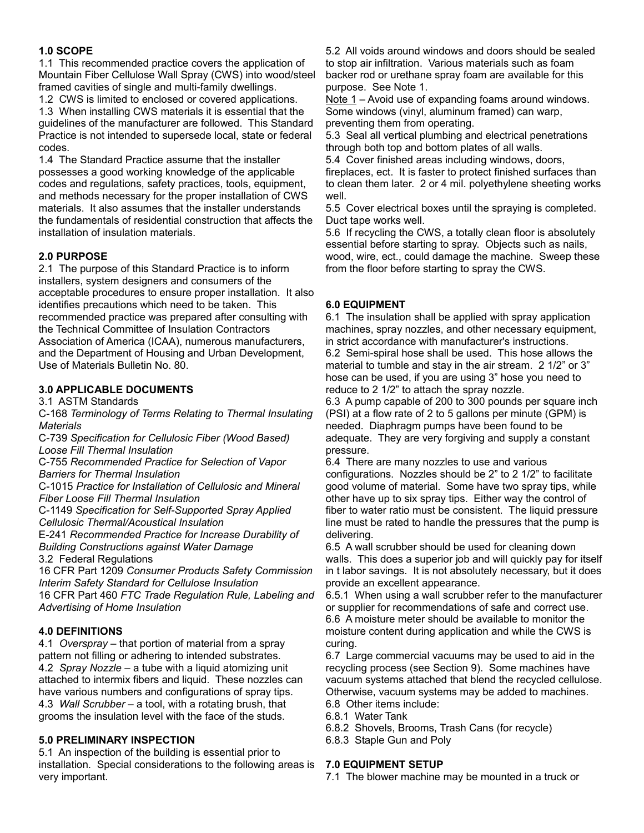#### **1.0 SCOPE**

1.1 This recommended practice covers the application of Mountain Fiber Cellulose Wall Spray (CWS) into wood/steel framed cavities of single and multi-family dwellings.

1.2 CWS is limited to enclosed or covered applications.

1.3 When installing CWS materials it is essential that the guidelines of the manufacturer are followed. This Standard Practice is not intended to supersede local, state or federal codes.

1.4 The Standard Practice assume that the installer possesses a good working knowledge of the applicable codes and regulations, safety practices, tools, equipment, and methods necessary for the proper installation of CWS materials. It also assumes that the installer understands the fundamentals of residential construction that affects the installation of insulation materials.

#### **2.0 PURPOSE**

2.1 The purpose of this Standard Practice is to inform installers, system designers and consumers of the acceptable procedures to ensure proper installation. It also identifies precautions which need to be taken. This recommended practice was prepared after consulting with the Technical Committee of Insulation Contractors Association of America (ICAA), numerous manufacturers, and the Department of Housing and Urban Development, Use of Materials Bulletin No. 80.

## **3.0 APPLICABLE DOCUMENTS**

3.1 ASTM Standards

C-168 *Terminology of Terms Relating to Thermal Insulating Materials*

C-739 *Specification for Cellulosic Fiber (Wood Based) Loose Fill Thermal Insulation*

C-755 *Recommended Practice for Selection of Vapor Barriers for Thermal Insulation*

C-1015 *Practice for Installation of Cellulosic and Mineral Fiber Loose Fill Thermal Insulation* 

C-1149 *Specification for Self-Supported Spray Applied Cellulosic Thermal/Acoustical Insulation*

E-241 *Recommended Practice for Increase Durability of Building Constructions against Water Damage*

3.2 Federal Regulations

16 CFR Part 1209 *Consumer Products Safety Commission Interim Safety Standard for Cellulose Insulation*

16 CFR Part 460 *FTC Trade Regulation Rule, Labeling and Advertising of Home Insulation*

#### **4.0 DEFINITIONS**

4.1 *Overspray –* that portion of material from a spray pattern not filling or adhering to intended substrates. 4.2 *Spray Nozzle* – a tube with a liquid atomizing unit attached to intermix fibers and liquid. These nozzles can have various numbers and configurations of spray tips. 4.3 *Wall Scrubber* – a tool, with a rotating brush, that grooms the insulation level with the face of the studs.

#### **5.0 PRELIMINARY INSPECTION**

5.1 An inspection of the building is essential prior to installation. Special considerations to the following areas is very important.

5.2 All voids around windows and doors should be sealed to stop air infiltration. Various materials such as foam backer rod or urethane spray foam are available for this purpose. See Note 1.

Note 1 – Avoid use of expanding foams around windows. Some windows (vinyl, aluminum framed) can warp, preventing them from operating.

5.3 Seal all vertical plumbing and electrical penetrations through both top and bottom plates of all walls.

5.4 Cover finished areas including windows, doors, fireplaces, ect. It is faster to protect finished surfaces than to clean them later. 2 or 4 mil. polyethylene sheeting works well.

5.5 Cover electrical boxes until the spraying is completed. Duct tape works well.

5.6 If recycling the CWS, a totally clean floor is absolutely essential before starting to spray. Objects such as nails, wood, wire, ect., could damage the machine. Sweep these from the floor before starting to spray the CWS.

### **6.0 EQUIPMENT**

6.1 The insulation shall be applied with spray application machines, spray nozzles, and other necessary equipment, in strict accordance with manufacturer's instructions. 6.2 Semi-spiral hose shall be used. This hose allows the material to tumble and stay in the air stream. 2 1/2" or 3" hose can be used, if you are using 3" hose you need to reduce to 2 1/2" to attach the spray nozzle.

6.3 A pump capable of 200 to 300 pounds per square inch (PSI) at a flow rate of 2 to 5 gallons per minute (GPM) is needed. Diaphragm pumps have been found to be adequate. They are very forgiving and supply a constant pressure.

6.4 There are many nozzles to use and various configurations. Nozzles should be 2" to 2 1/2" to facilitate good volume of material. Some have two spray tips, while other have up to six spray tips. Either way the control of fiber to water ratio must be consistent. The liquid pressure line must be rated to handle the pressures that the pump is delivering.

6.5 A wall scrubber should be used for cleaning down walls. This does a superior job and will quickly pay for itself in t labor savings. It is not absolutely necessary, but it does provide an excellent appearance.

6.5.1 When using a wall scrubber refer to the manufacturer or supplier for recommendations of safe and correct use. 6.6 A moisture meter should be available to monitor the moisture content during application and while the CWS is curing.

6.7 Large commercial vacuums may be used to aid in the recycling process (see Section 9). Some machines have vacuum systems attached that blend the recycled cellulose. Otherwise, vacuum systems may be added to machines. 6.8 Other items include:

- 6.8.1 Water Tank
- 6.8.2 Shovels, Brooms, Trash Cans (for recycle)
- 6.8.3 Staple Gun and Poly

#### **7.0 EQUIPMENT SETUP**

7.1 The blower machine may be mounted in a truck or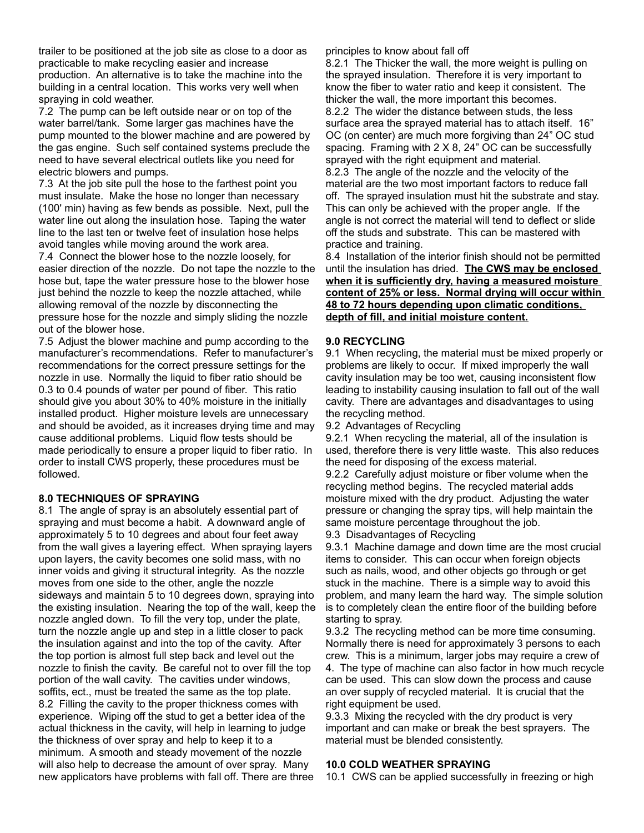trailer to be positioned at the job site as close to a door as practicable to make recycling easier and increase production. An alternative is to take the machine into the building in a central location. This works very well when spraying in cold weather.

7.2 The pump can be left outside near or on top of the water barrel/tank. Some larger gas machines have the pump mounted to the blower machine and are powered by the gas engine. Such self contained systems preclude the need to have several electrical outlets like you need for electric blowers and pumps.

7.3 At the job site pull the hose to the farthest point you must insulate. Make the hose no longer than necessary (100' min) having as few bends as possible. Next, pull the water line out along the insulation hose. Taping the water line to the last ten or twelve feet of insulation hose helps avoid tangles while moving around the work area.

7.4 Connect the blower hose to the nozzle loosely, for easier direction of the nozzle. Do not tape the nozzle to the hose but, tape the water pressure hose to the blower hose just behind the nozzle to keep the nozzle attached, while allowing removal of the nozzle by disconnecting the pressure hose for the nozzle and simply sliding the nozzle out of the blower hose.

7.5 Adjust the blower machine and pump according to the manufacturer's recommendations. Refer to manufacturer's recommendations for the correct pressure settings for the nozzle in use. Normally the liquid to fiber ratio should be 0.3 to 0.4 pounds of water per pound of fiber. This ratio should give you about 30% to 40% moisture in the initially installed product. Higher moisture levels are unnecessary and should be avoided, as it increases drying time and may cause additional problems. Liquid flow tests should be made periodically to ensure a proper liquid to fiber ratio. In order to install CWS properly, these procedures must be followed.

#### **8.0 TECHNIQUES OF SPRAYING**

8.1 The angle of spray is an absolutely essential part of spraying and must become a habit. A downward angle of approximately 5 to 10 degrees and about four feet away from the wall gives a layering effect. When spraying layers upon layers, the cavity becomes one solid mass, with no inner voids and giving it structural integrity. As the nozzle moves from one side to the other, angle the nozzle sideways and maintain 5 to 10 degrees down, spraying into the existing insulation. Nearing the top of the wall, keep the nozzle angled down. To fill the very top, under the plate, turn the nozzle angle up and step in a little closer to pack the insulation against and into the top of the cavity. After the top portion is almost full step back and level out the nozzle to finish the cavity. Be careful not to over fill the top portion of the wall cavity. The cavities under windows, soffits, ect., must be treated the same as the top plate. 8.2 Filling the cavity to the proper thickness comes with experience. Wiping off the stud to get a better idea of the actual thickness in the cavity, will help in learning to judge the thickness of over spray and help to keep it to a minimum. A smooth and steady movement of the nozzle will also help to decrease the amount of over spray. Many new applicators have problems with fall off. There are three

#### principles to know about fall off

8.2.1 The Thicker the wall, the more weight is pulling on the sprayed insulation. Therefore it is very important to know the fiber to water ratio and keep it consistent. The thicker the wall, the more important this becomes. 8.2.2 The wider the distance between studs, the less surface area the sprayed material has to attach itself. 16" OC (on center) are much more forgiving than 24" OC stud spacing. Framing with 2 X 8, 24" OC can be successfully sprayed with the right equipment and material. 8.2.3 The angle of the nozzle and the velocity of the material are the two most important factors to reduce fall off. The sprayed insulation must hit the substrate and stay. This can only be achieved with the proper angle. If the angle is not correct the material will tend to deflect or slide off the studs and substrate. This can be mastered with practice and training.

8.4 Installation of the interior finish should not be permitted until the insulation has dried. **The CWS may be enclosed when it is sufficiently dry, having a measured moisture content of 25% or less. Normal drying will occur within 48 to 72 hours depending upon climatic conditions, depth of fill, and initial moisture content.**

#### **9.0 RECYCLING**

9.1 When recycling, the material must be mixed properly or problems are likely to occur. If mixed improperly the wall cavity insulation may be too wet, causing inconsistent flow leading to instability causing insulation to fall out of the wall cavity. There are advantages and disadvantages to using the recycling method.

9.2 Advantages of Recycling

9.2.1 When recycling the material, all of the insulation is used, therefore there is very little waste. This also reduces the need for disposing of the excess material.

9.2.2 Carefully adjust moisture or fiber volume when the recycling method begins. The recycled material adds moisture mixed with the dry product. Adjusting the water pressure or changing the spray tips, will help maintain the same moisture percentage throughout the job.

9.3 Disadvantages of Recycling

9.3.1 Machine damage and down time are the most crucial items to consider. This can occur when foreign objects such as nails, wood, and other objects go through or get stuck in the machine. There is a simple way to avoid this problem, and many learn the hard way. The simple solution is to completely clean the entire floor of the building before starting to spray.

9.3.2 The recycling method can be more time consuming. Normally there is need for approximately 3 persons to each crew. This is a minimum, larger jobs may require a crew of 4. The type of machine can also factor in how much recycle can be used. This can slow down the process and cause an over supply of recycled material. It is crucial that the right equipment be used.

9.3.3 Mixing the recycled with the dry product is very important and can make or break the best sprayers. The material must be blended consistently.

#### **10.0 COLD WEATHER SPRAYING**

10.1 CWS can be applied successfully in freezing or high